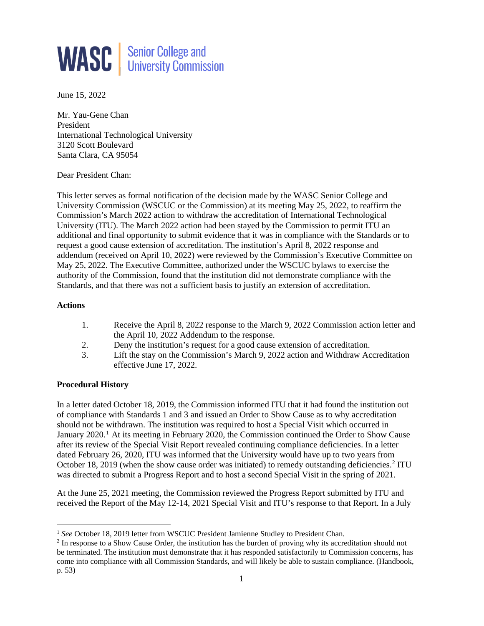

June 15, 2022

Mr. Yau-Gene Chan President International Technological University 3120 Scott Boulevard Santa Clara, CA 95054

Dear President Chan:

This letter serves as formal notification of the decision made by the WASC Senior College and University Commission (WSCUC or the Commission) at its meeting May 25, 2022, to reaffirm the Commission's March 2022 action to withdraw the accreditation of International Technological University (ITU). The March 2022 action had been stayed by the Commission to permit ITU an additional and final opportunity to submit evidence that it was in compliance with the Standards or to request a good cause extension of accreditation. The institution's April 8, 2022 response and addendum (received on April 10, 2022) were reviewed by the Commission's Executive Committee on May 25, 2022. The Executive Committee, authorized under the WSCUC bylaws to exercise the authority of the Commission, found that the institution did not demonstrate compliance with the Standards, and that there was not a sufficient basis to justify an extension of accreditation.

### **Actions**

- 1. Receive the April 8, 2022 response to the March 9, 2022 Commission action letter and the April 10, 2022 Addendum to the response.
- 2. Deny the institution's request for a good cause extension of accreditation.
- 3. Lift the stay on the Commission's March 9, 2022 action and Withdraw Accreditation effective June 17, 2022.

### **Procedural History**

In a letter dated October 18, 2019, the Commission informed ITU that it had found the institution out of compliance with Standards 1 and 3 and issued an Order to Show Cause as to why accreditation should not be withdrawn. The institution was required to host a Special Visit which occurred in January 2020.<sup>1</sup> At its meeting in February 2020, the Commission continued the Order to Show Cause after its review of the Special Visit Report revealed continuing compliance deficiencies. In a letter dated February 26, 2020, ITU was informed that the University would have up to two years from October 18, [2](#page-0-1)019 (when the show cause order was initiated) to remedy outstanding deficiencies.<sup>2</sup> ITU was directed to submit a Progress Report and to host a second Special Visit in the spring of 2021.

At the June 25, 2021 meeting, the Commission reviewed the Progress Report submitted by ITU and received the Report of the May 12-14, 2021 Special Visit and ITU's response to that Report. In a July

<span id="page-0-0"></span><sup>&</sup>lt;sup>1</sup> See October 18, 2019 letter from WSCUC President Jamienne Studley to President Chan.

<span id="page-0-1"></span><sup>&</sup>lt;sup>2</sup> In response to a Show Cause Order, the institution has the burden of proving why its accreditation should not be terminated. The institution must demonstrate that it has responded satisfactorily to Commission concerns, has come into compliance with all Commission Standards, and will likely be able to sustain compliance. (Handbook, p. 53)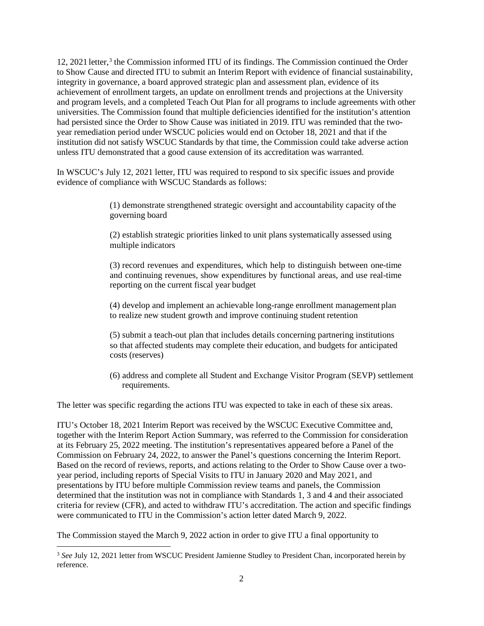12, 2021 letter, [3](#page-1-0) the Commission informed ITU of its findings. The Commission continued the Order to Show Cause and directed ITU to submit an Interim Report with evidence of financial sustainability, integrity in governance, a board approved strategic plan and assessment plan, evidence of its achievement of enrollment targets, an update on enrollment trends and projections at the University and program levels, and a completed Teach Out Plan for all programs to include agreements with other universities. The Commission found that multiple deficiencies identified for the institution's attention had persisted since the Order to Show Cause was initiated in 2019. ITU was reminded that the twoyear remediation period under WSCUC policies would end on October 18, 2021 and that if the institution did not satisfy WSCUC Standards by that time, the Commission could take adverse action unless ITU demonstrated that a good cause extension of its accreditation was warranted.

In WSCUC's July 12, 2021 letter, ITU was required to respond to six specific issues and provide evidence of compliance with WSCUC Standards as follows:

> (1) demonstrate strengthened strategic oversight and accountability capacity ofthe governing board

(2) establish strategic priorities linked to unit plans systematically assessed using multiple indicators

(3) record revenues and expenditures, which help to distinguish between one-time and continuing revenues, show expenditures by functional areas, and use real-time reporting on the current fiscal year budget

(4) develop and implement an achievable long-range enrollment management plan to realize new student growth and improve continuing student retention

(5) submit a teach-out plan that includes details concerning partnering institutions so that affected students may complete their education, and budgets for anticipated costs (reserves)

(6) address and complete all Student and Exchange Visitor Program (SEVP) settlement requirements.

The letter was specific regarding the actions ITU was expected to take in each of these six areas.

ITU's October 18, 2021 Interim Report was received by the WSCUC Executive Committee and, together with the Interim Report Action Summary, was referred to the Commission for consideration at its February 25, 2022 meeting. The institution's representatives appeared before a Panel of the Commission on February 24, 2022, to answer the Panel's questions concerning the Interim Report. Based on the record of reviews, reports, and actions relating to the Order to Show Cause over a twoyear period, including reports of Special Visits to ITU in January 2020 and May 2021, and presentations by ITU before multiple Commission review teams and panels, the Commission determined that the institution was not in compliance with Standards 1, 3 and 4 and their associated criteria for review (CFR), and acted to withdraw ITU's accreditation. The action and specific findings were communicated to ITU in the Commission's action letter dated March 9, 2022.

The Commission stayed the March 9, 2022 action in order to give ITU a final opportunity to

<span id="page-1-0"></span><sup>&</sup>lt;sup>3</sup> See July 12, 2021 letter from WSCUC President Jamienne Studley to President Chan, incorporated herein by reference.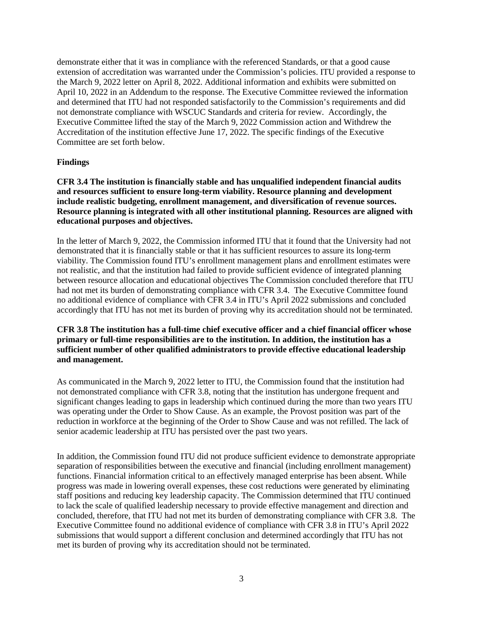demonstrate either that it was in compliance with the referenced Standards, or that a good cause extension of accreditation was warranted under the Commission's policies. ITU provided a response to the March 9, 2022 letter on April 8, 2022. Additional information and exhibits were submitted on April 10, 2022 in an Addendum to the response. The Executive Committee reviewed the information and determined that ITU had not responded satisfactorily to the Commission's requirements and did not demonstrate compliance with WSCUC Standards and criteria for review. Accordingly, the Executive Committee lifted the stay of the March 9, 2022 Commission action and Withdrew the Accreditation of the institution effective June 17, 2022. The specific findings of the Executive Committee are set forth below.

#### **Findings**

**CFR 3.4 The institution is financially stable and has unqualified independent financial audits and resources sufficient to ensure long-term viability. Resource planning and development include realistic budgeting, enrollment management, and diversification of revenue sources. Resource planning is integrated with all other institutional planning. Resources are aligned with educational purposes and objectives.**

In the letter of March 9, 2022, the Commission informed ITU that it found that the University had not demonstrated that it is financially stable or that it has sufficient resources to assure its long-term viability. The Commission found ITU's enrollment management plans and enrollment estimates were not realistic, and that the institution had failed to provide sufficient evidence of integrated planning between resource allocation and educational objectives The Commission concluded therefore that ITU had not met its burden of demonstrating compliance with CFR 3.4. The Executive Committee found no additional evidence of compliance with CFR 3.4 in ITU's April 2022 submissions and concluded accordingly that ITU has not met its burden of proving why its accreditation should not be terminated.

## **CFR 3.8 The institution has a full-time chief executive officer and a chief financial officer whose primary or full-time responsibilities are to the institution. In addition, the institution has a sufficient number of other qualified administrators to provide effective educational leadership and management.**

As communicated in the March 9, 2022 letter to ITU, the Commission found that the institution had not demonstrated compliance with CFR 3.8, noting that the institution has undergone frequent and significant changes leading to gaps in leadership which continued during the more than two years ITU was operating under the Order to Show Cause. As an example, the Provost position was part of the reduction in workforce at the beginning of the Order to Show Cause and was not refilled. The lack of senior academic leadership at ITU has persisted over the past two years.

In addition, the Commission found ITU did not produce sufficient evidence to demonstrate appropriate separation of responsibilities between the executive and financial (including enrollment management) functions. Financial information critical to an effectively managed enterprise has been absent. While progress was made in lowering overall expenses, these cost reductions were generated by eliminating staff positions and reducing key leadership capacity. The Commission determined that ITU continued to lack the scale of qualified leadership necessary to provide effective management and direction and concluded, therefore, that ITU had not met its burden of demonstrating compliance with CFR 3.8. The Executive Committee found no additional evidence of compliance with CFR 3.8 in ITU's April 2022 submissions that would support a different conclusion and determined accordingly that ITU has not met its burden of proving why its accreditation should not be terminated.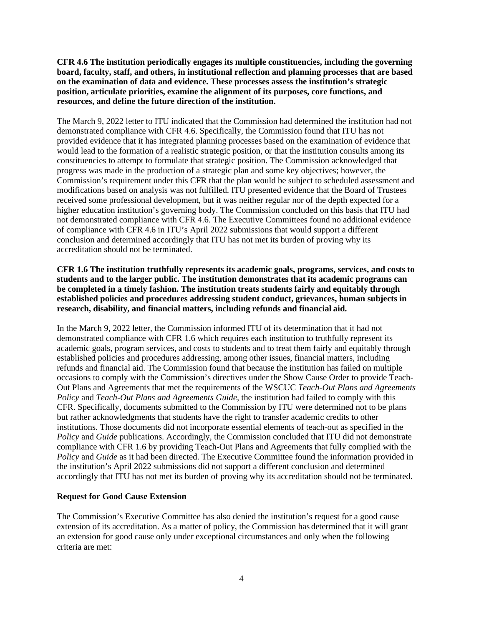**CFR 4.6 The institution periodically engages its multiple constituencies, including the governing board, faculty, staff, and others, in institutional reflection and planning processes that are based on the examination of data and evidence. These processes assess the institution's strategic position, articulate priorities, examine the alignment of its purposes, core functions, and resources, and define the future direction of the institution.**

The March 9, 2022 letter to ITU indicated that the Commission had determined the institution had not demonstrated compliance with CFR 4.6. Specifically, the Commission found that ITU has not provided evidence that it has integrated planning processes based on the examination of evidence that would lead to the formation of a realistic strategic position, or that the institution consults among its constituencies to attempt to formulate that strategic position. The Commission acknowledged that progress was made in the production of a strategic plan and some key objectives; however, the Commission's requirement under this CFR that the plan would be subject to scheduled assessment and modifications based on analysis was not fulfilled. ITU presented evidence that the Board of Trustees received some professional development, but it was neither regular nor of the depth expected for a higher education institution's governing body. The Commission concluded on this basis that ITU had not demonstrated compliance with CFR 4.6. The Executive Committees found no additional evidence of compliance with CFR 4.6 in ITU's April 2022 submissions that would support a different conclusion and determined accordingly that ITU has not met its burden of proving why its accreditation should not be terminated.

**CFR 1.6 The institution truthfully represents its academic goals, programs, services, and costs to students and to the larger public. The institution demonstrates that its academic programs can be completed in a timely fashion. The institution treats students fairly and equitably through established policies and procedures addressing student conduct, grievances, human subjects in research, disability, and financial matters, including refunds and financial aid.**

In the March 9, 2022 letter, the Commission informed ITU of its determination that it had not demonstrated compliance with CFR 1.6 which requires each institution to truthfully represent its academic goals, program services, and costs to students and to treat them fairly and equitably through established policies and procedures addressing, among other issues, financial matters, including refunds and financial aid. The Commission found that because the institution has failed on multiple occasions to comply with the Commission's directives under the Show Cause Order to provide Teach-Out Plans and Agreements that met the requirements of the WSCUC *Teach-Out Plans and Agreements Policy* and *Teach-Out Plans and Agreements Guide,* the institution had failed to comply with this CFR. Specifically, documents submitted to the Commission by ITU were determined not to be plans but rather acknowledgments that students have the right to transfer academic credits to other institutions. Those documents did not incorporate essential elements of teach-out as specified in the *Policy* and *Guide* publications. Accordingly, the Commission concluded that ITU did not demonstrate compliance with CFR 1.6 by providing Teach-Out Plans and Agreements that fully complied with the *Policy* and *Guide* as it had been directed. The Executive Committee found the information provided in the institution's April 2022 submissions did not support a different conclusion and determined accordingly that ITU has not met its burden of proving why its accreditation should not be terminated.

### **Request for Good Cause Extension**

The Commission's Executive Committee has also denied the institution's request for a good cause extension of its accreditation. As a matter of policy, the Commission has determined that it will grant an extension for good cause only under exceptional circumstances and only when the following criteria are met: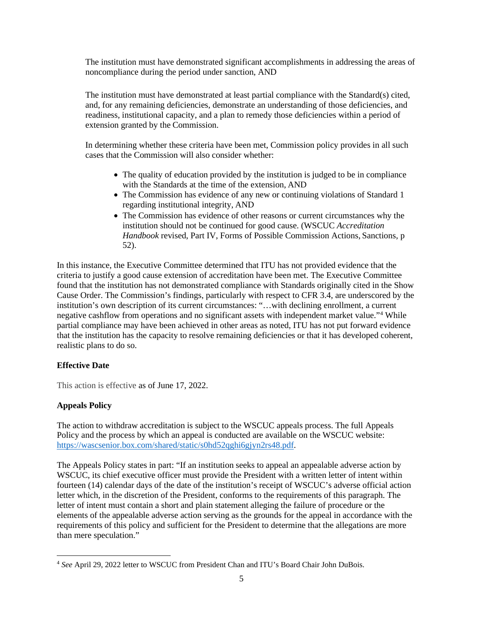The institution must have demonstrated significant accomplishments in addressing the areas of noncompliance during the period under sanction, AND

The institution must have demonstrated at least partial compliance with the Standard(s) cited, and, for any remaining deficiencies, demonstrate an understanding of those deficiencies, and readiness, institutional capacity, and a plan to remedy those deficiencies within a period of extension granted by the Commission.

In determining whether these criteria have been met, Commission policy provides in all such cases that the Commission will also consider whether:

- The quality of education provided by the institution is judged to be in compliance with the Standards at the time of the extension, AND
- The Commission has evidence of any new or continuing violations of Standard 1 regarding institutional integrity, AND
- The Commission has evidence of other reasons or current circumstances why the institution should not be continued for good cause. (WSCUC *Accreditation Handbook* revised, Part IV, Forms of Possible Commission Actions, Sanctions, p 52).

In this instance, the Executive Committee determined that ITU has not provided evidence that the criteria to justify a good cause extension of accreditation have been met. The Executive Committee found that the institution has not demonstrated compliance with Standards originally cited in the Show Cause Order. The Commission's findings, particularly with respect to CFR 3.4, are underscored by the institution's own description of its current circumstances: "…with declining enrollment, a current negative cashflow from operations and no significant assets with independent market value."[4](#page-4-0) While partial compliance may have been achieved in other areas as noted, ITU has not put forward evidence that the institution has the capacity to resolve remaining deficiencies or that it has developed coherent, realistic plans to do so.

### **Effective Date**

This action is effective as of June 17, 2022.

### **Appeals Policy**

The action to withdraw accreditation is subject to the WSCUC appeals process. The full Appeals Policy and the process by which an appeal is conducted are available on the WSCUC website: [https://wascsenior.box.com/shared/static/s0hd52qghi6gjyn2rs48.pdf.](https://wascsenior.box.com/shared/static/s0hd52qghi6gjyn2rs48.pdf)

The Appeals Policy states in part: "If an institution seeks to appeal an appealable adverse action by WSCUC, its chief executive officer must provide the President with a written letter of intent within fourteen (14) calendar days of the date of the institution's receipt of WSCUC's adverse official action letter which, in the discretion of the President, conforms to the requirements of this paragraph. The letter of intent must contain a short and plain statement alleging the failure of procedure or the elements of the appealable adverse action serving as the grounds for the appeal in accordance with the requirements of this policy and sufficient for the President to determine that the allegations are more than mere speculation."

<span id="page-4-0"></span><sup>4</sup> *See* April 29, 2022 letter to WSCUC from President Chan and ITU's Board Chair John DuBois.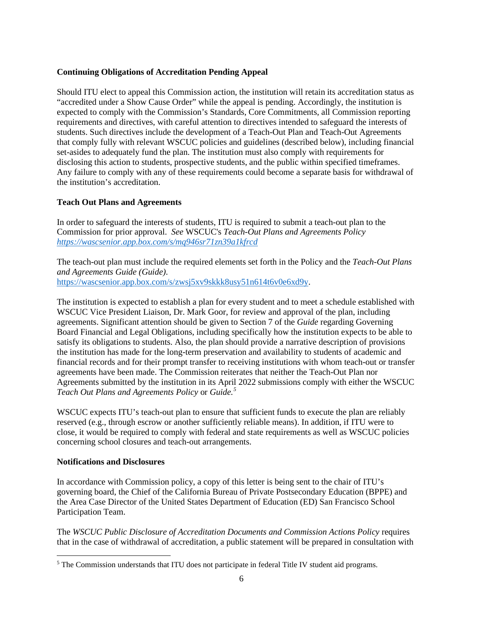# **Continuing Obligations of Accreditation Pending Appeal**

Should ITU elect to appeal this Commission action, the institution will retain its accreditation status as "accredited under a Show Cause Order" while the appeal is pending. Accordingly, the institution is expected to comply with the Commission's Standards, Core Commitments, all Commission reporting requirements and directives, with careful attention to directives intended to safeguard the interests of students. Such directives include the development of a Teach-Out Plan and Teach-Out Agreements that comply fully with relevant WSCUC policies and guidelines (described below), including financial set-asides to adequately fund the plan. The institution must also comply with requirements for disclosing this action to students, prospective students, and the public within specified timeframes. Any failure to comply with any of these requirements could become a separate basis for withdrawal of the institution's accreditation.

# **Teach Out Plans and Agreements**

In order to safeguard the interests of students, ITU is required to submit a teach-out plan to the Commission for prior approval. *See* WSCUC's *Teach-Out Plans and Agreements Policy <https://wascsenior.app.box.com/s/mq946sr71zn39a1kfrcd>*

The teach-out plan must include the required elements set forth in the Policy and the *Teach-Out Plans and Agreements Guide (Guide)*. [https://wascsenior.app.box.com/s/zwsj5xv9skkk8usy51n614t6v0e6xd9y.](https://wascsenior.app.box.com/s/zwsj5xv9skkk8usy51n614t6v0e6xd9y)

The institution is expected to establish a plan for every student and to meet a schedule established with WSCUC Vice President Liaison, Dr. Mark Goor, for review and approval of the plan, including agreements. Significant attention should be given to Section 7 of the *Guide* regarding Governing Board Financial and Legal Obligations, including specifically how the institution expects to be able to satisfy its obligations to students. Also, the plan should provide a narrative description of provisions the institution has made for the long-term preservation and availability to students of academic and financial records and for their prompt transfer to receiving institutions with whom teach-out or transfer agreements have been made. The Commission reiterates that neither the Teach-Out Plan nor Agreements submitted by the institution in its April 2022 submissions comply with either the WSCUC *Teach Out Plans and Agreements Policy* or *Guide.[5](#page-5-0)*

WSCUC expects ITU's teach-out plan to ensure that sufficient funds to execute the plan are reliably reserved (e.g., through escrow or another sufficiently reliable means). In addition, if ITU were to close, it would be required to comply with federal and state requirements as well as WSCUC policies concerning school closures and teach-out arrangements.

### **Notifications and Disclosures**

In accordance with Commission policy, a copy of this letter is being sent to the chair of ITU's governing board, the Chief of the California Bureau of Private Postsecondary Education (BPPE) and the Area Case Director of the United States Department of Education (ED) San Francisco School Participation Team.

The *WSCUC Public Disclosure of Accreditation Documents and Commission Actions Policy* requires that in the case of withdrawal of accreditation, a public statement will be prepared in consultation with

<span id="page-5-0"></span><sup>&</sup>lt;sup>5</sup> The Commission understands that ITU does not participate in federal Title IV student aid programs.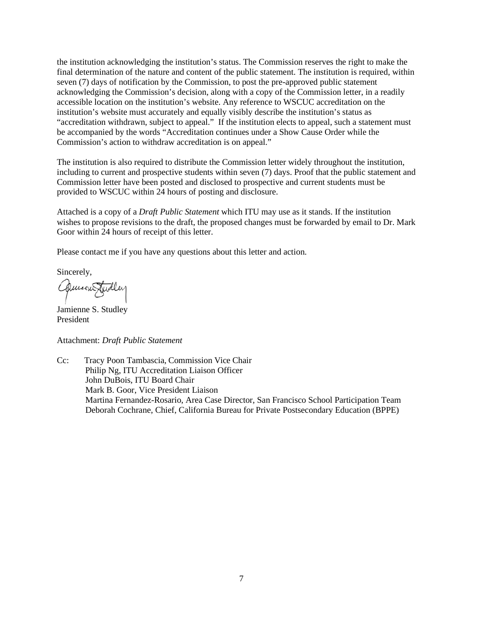the institution acknowledging the institution's status. The Commission reserves the right to make the final determination of the nature and content of the public statement. The institution is required, within seven (7) days of notification by the Commission, to post the pre-approved public statement acknowledging the Commission's decision, along with a copy of the Commission letter, in a readily accessible location on the institution's website. Any reference to WSCUC accreditation on the institution's website must accurately and equally visibly describe the institution's status as "accreditation withdrawn, subject to appeal." If the institution elects to appeal, such a statement must be accompanied by the words "Accreditation continues under a Show Cause Order while the Commission's action to withdraw accreditation is on appeal."

The institution is also required to distribute the Commission letter widely throughout the institution, including to current and prospective students within seven (7) days. Proof that the public statement and Commission letter have been posted and disclosed to prospective and current students must be provided to WSCUC within 24 hours of posting and disclosure.

Attached is a copy of a *Draft Public Statement* which ITU may use as it stands. If the institution wishes to propose revisions to the draft, the proposed changes must be forwarded by email to Dr. Mark Goor within 24 hours of receipt of this letter.

Please contact me if you have any questions about this letter and action.

Sincerely,

Quincen Fidler

Jamienne S. Studley President

Attachment: *Draft Public Statement*

Cc: Tracy Poon Tambascia, Commission Vice Chair Philip Ng, ITU Accreditation Liaison Officer John DuBois, ITU Board Chair Mark B. Goor, Vice President Liaison Martina Fernandez-Rosario, Area Case Director, San Francisco School Participation Team Deborah Cochrane, Chief, California Bureau for Private Postsecondary Education (BPPE)